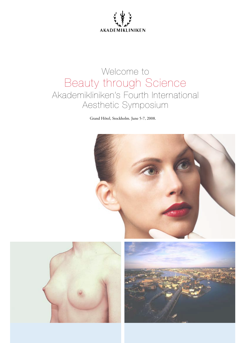

# Welcome to Beauty through Science Akademikliniken's Fourth International Aesthetic Symposium

Grand Hôtel, Stockholm. June 5-7, 2008.





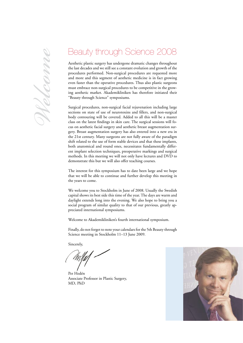# *Welcome*

# Beauty through Science 2008

Aesthetic plastic surgery has undergone dramatic changes throughout the last decades and we still see a constant evolution and growth of the procedures performed. Non-surgical procedures are requested more and more and this segment of aesthetic medicine is in fact growing even faster than the operative procedures. Thus also plastic surgeons must embrace non-surgical procedures to be competitive in the growing aesthetic market. Akademikliniken has therefore initiated their "Beauty through Science" symposiums.

Surgical procedures, non-surgical facial rejuvenation including large sections on state of use of neurotoxins and fillers, and non-surgical body contouring will be covered. Added to all this will be a master class on the latest findings in skin care. The surgical sessions will focus on aesthetic facial surgery and aesthetic breast augmentation surgery. Breast augmentation surgery has also entered into a new era in the 21st century. Many surgeons are not fully aware of the paradigm shift related to the use of form stable devices and that these implants, both anatomical and round ones, necessitates fundamentally different implant selection techniques, preoperative markings and surgical methods. In this meeting we will not only have lectures and DVD to demonstrate this but we will also offer teaching courses.

The interest for this symposium has to date been large and we hope that we will be able to continue and further develop this meeting in the years to come.

We welcome you to Stockholm in June of 2008. Usually the Swedish capital shows its best side this time of the year. The days are warm and daylight extends long into the evening. We also hope to bring you a social program of similar quality to that of our previous, greatly appreciated international symposiums.

Welcome to Akademikliniken's fourth international symposium.

Finally, do not forget to note your calendars for the 5th Beauty through Science meeting in Stockholm 11–13 June 2009.

Sincerely,

Per Hedén Associate Professor in Plastic Surgery, MD, PhD

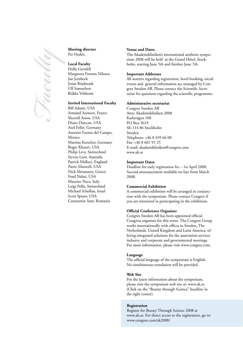

### **Meeting director** Per Hedén

**Local Faculty** Holly Grenfell Margareta Fromm Nilsson Jan Jernbeck Jonas Röjdmark Ulf Samuelson Riikka Veltheim

### **Invited International Faculty**

Bill Adams, USA Armand Azencot, France Sherrell Aston, USA Diane Duncan, USA Axel Feller, Germany Antonio Fuente del Campo, Mexico Martina Kerscher, Germany Roger Khouri, USA Philip Levy, Switzerland Steven Liew, Australia Patrick Malluci, England Patric Maxwell, USA Nick Metaxotos, Greece Foad Nahai, USA Maurizo Nava, Italy Luigi Polla, Switzerland Michael Scheflan, Israel Scott Spears, USA Constantin Stan, Romania

### **Venue and Dates**

The Akademikliniken's international aesthetic symposium 2008 will be held at the Grand Hôtel, Stockholm, starting June 5th and finishes June 7th.

### **Important Addresses**

All matters regarding registration, hotel booking, social events and general information are managed by Congrex Sweden AB. Please contact the Scientific Secretariat for questions regarding the scientific programme.

### **Administrative secretariat**

Congrex Sweden AB Attn: Akademikliniken 2008 Karlavägen 108 PO Box 5619 SE-114 86 Stockholm Sweden Telephone: +46 8 459 66 00 Fax: +46 8 661 91 25 E-mail: akademikliniken@congrex.com www.ak.se

### **Important Dates**

Deadline for early registration fee – 1st April 2008. Second announcement available on line from March 2008.

### **Commercial Exhibition**

A commercial exhibition will be arranged in conjunction with the symposium. Please contact Congrex if you are interested in participating in the exhibition.

### **Official Conference Organiser**

Congrex Sweden AB has been appointed official Congress organiser for this event. The Congrex Group works internationally with offices in Sweden, The Netherlands, United Kingdom and Latin America, offering integrated solutions for the association services industry and corporate and governmental meetings. For more information, please visit www.congrex.com.

### **Language**

The official language of the symposium is English. No simultaneous translation will be provided.

### **Web Site**

For the latest information about the symposium, please visit the symposium web site at: www.ak.se. (Click on the "Beauty rhrough Science" headline in the right corner).

### **Registration**

Register for Beauty Through Science 2008 at www.ak.se. For direct access to the registration, go to: www.congrex.com/ak2008/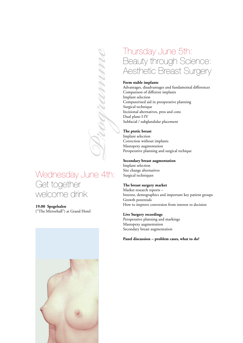# Wednesday June 4th: Get together welcome drink

*Programme*

## **19.00 Spegelsalen**

("The Mirrorhall") at Grand Hotel



# Thursday June 5th: Beauty through Science: Aesthetic Breast Surgery

### **Form stable implants**

Advantages, disadvantages and fundamental differences Comparison of different implants Implant selection Computerized aid in preoperative planning Surgical technique Incisional alternatives, pros and cons Dual plane I-IV Subfacial / subglandular placement

### **The ptotic breast**

Implant selection Correction without implants Mastopexy augmentation Peroperative planning and surgical techique

### **Secondary breast augmentation**

Implant selection Site change alternatives Surgical techniques

### **The breast surgery market**

Market research reports – Interest, demographics and important key patient groups Growth potentials How to improve conversion from interest to decision

### **Live Surgery recordings**

Peroperative planning and markings Mastopexy augmentation Secondary breast augmentation

### **Panel discussion – problem cases, what to do?**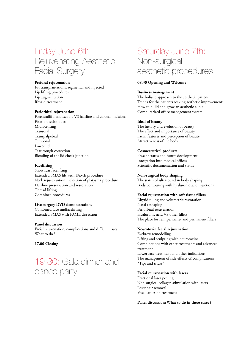# Friday June 6th: Rejuvenating Aesthetic Facial Surgery

### **Perioral rejuvenation**

Fat transplantations: segmental and injected Lip lifting procedures Lip augmentation Rhytid treatment

### **Periorbital rejuvenation**

Foreheadlift, endoscopic VS hairline and coronal incisions Fixation techniques Midfaceliting Transoral Transpalpebral Temporal Lower lid Tear trough correction Blending of the lid cheek junction

### **Facelifting**

Short scar facelifting Extended SMAS lift with FAME procedure Neck rejuvevantion selection of platysma procedure Hairline preservation and restoration Thread lifting Combined procedures

### **Live surgery DVD demonstrations**

Combined face midfacelifting Extended SMAS with FAME dissection

### **Panel discussion**

Facial rejuvenation, complications and difficult cases What to do ?

### **17.00 Closing**

19.30: Gala dinner and dance party

# Saturday June 7th: Non-surgical aesthetic procedures

### **08.30 Opening and Welcome**

### **Business management**

The holistic approach to the aesthetic patient Trends for the patients seeking aesthetic improvements How to build and grow an aesthetic clinic Computerized office management system

### **Ideal of beauty**

The history and evolution of beauty The effect and importance of beauty Facial features and perception of beauty Attractiveness of the body

### **Cosmeceutical products**

Present status and future development Integration into medical offices Scientific documentation and status

### **Non-surgical body shaping**

The status of ultrasound in body shaping Body contouring with hyaluronic acid injections

### **Facial rejuvenation with soft tissue fillers**

Rhytid filling and volumetric restoration Nasal reshaping Periorbital rejuvenation Hyaluronic acid VS other fillers The place for semipermanet and permanent fillers

### **Neurotoxin facial rejuvenation**

Eyebrow remodelling Lifting and sculpting with neurotoxins Combinations with other treatments and advanced treatment Lower face treatment and other indications The management of side effects & complications "Tips and tricks"

### **Facial rejuvenation with lasers**

Fractional laser peeling Non surgical collagen stimulation with lasers Laser hair removal Vascular lesion treatment

**Panel discussion: What to do in these cases ?**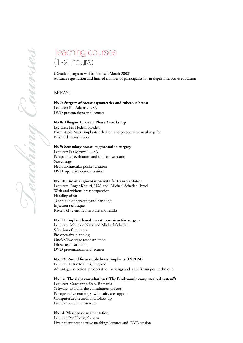# Teaching courses (1-2 hours)

(Detailed program will be finalised March 2008) Advance registration and limited number of participants for in depth interactive education

### BREAST

**No 7: Surgery of breast asymmetries and tuberous breast**  Lecturer: Bill Adams , USA DVD presentations and lectures

### **No 8: Allergan Academy Phase 2 workshop**

Lecturer: Per Hedén, Sweden Form stable Matix implants Selection and preoperative markings for Patient demonstration

### **No 9: Secondary breast augmentation surgery**

Lecturer: Pat Maxwell, USA Peroperative evaluation and implant selection Site change New submuscular pocket creation DVD operative demonstration

### **No. 10: Breast augmentation with fat transplantation**

Lecturers Roger Khouri, USA and Michael Scheflan, Israel With and without breast expansion Handlng of fat Technique of harvestig and handling Injection technique Review of scientific literature and results

### **No. 11: Implant based breast reconstructive surgery**

Lecturer: Maurizio Nava and Michael Scheflan Selection of implants Pre-operative planning OneVS Two stage reconstruction Direct reconstruction DVD presentations and lectures

### **No. 12: Round form stable breast implants (INPIRA)**

Lecturer: Patric Malluci, England Advantages selection, preoperative markings and specific surgical technique

### **No 13: The right consultation ("The Biodynamic computerized system")**

Lecturer: Constantin Stan, Romania Software to aid in the consultation process Per-opearetive markings with software support Computerized records and follow up Live patient demonstration

### **No 14: Mastopexy augmentation.**

Lecturer: Per Hedén, Sweden Live patient preoperative markings lectures and DVD session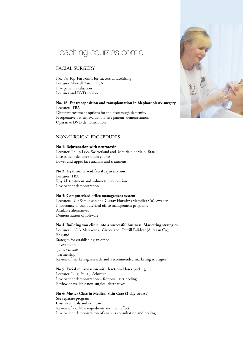# Teaching courses cont'd.

### FACIAL SURGERY

No. 15: Top Ten Points for successful facelifting Lecturer: Sherrell Aston, USA Live patient evaluation Lectures and DVD session

### **No. 16: Fat transposition and transplantation in blepharoplasty surgery** Lecturer: TBA Different treatment options for the teartrough deformity

Preoperative patient evaluation: live patient demonstration Operative DVD demonstration

### NON-SURGICAL PROCEDURES

### **No 1: Rejuvenation with neurotoxin**

Lecturer: Philip Levy, Switzerland and Mauricio deMaio, Brazil Live patient demonstration course Lower and upper face analysis and treatment

### **No 2: Hyaluronic acid facial rejuvenation**

Lecturer: TBA Rhytid treatment and volumetric restoration Live patient demonstration

### **No 3: Computerized office management system**

Lecturers: Ulf Samuelson and Gustav Horwitz (Metodica Co), Sweden Importance of computerized office management programs Available alternatives Demonstration of software

### **No 4: Building you clinic into a successful business. Marketing strategies**

Lecturers: Nick Metaxotos, Greece and Derrill Palidvar (Allergan Co), England Stategics for establishing an office -investments -joint venture -partnership Review of marketing research and recommended marketing strategies

### **No 5: Facial rejuvenation with fractional laser peeling**

Lecturer: Luigi Polla , Schweitz Live patient demonstration – factional laser peeling Review of available non-surgical alternatives

### **No 6: Master Class in Medical Skin Care (2 day course)**

See separate program Cosmeceuticals and skin care Review of available ingredients and their effect Live patient demonstration of analysis consultation and peeling